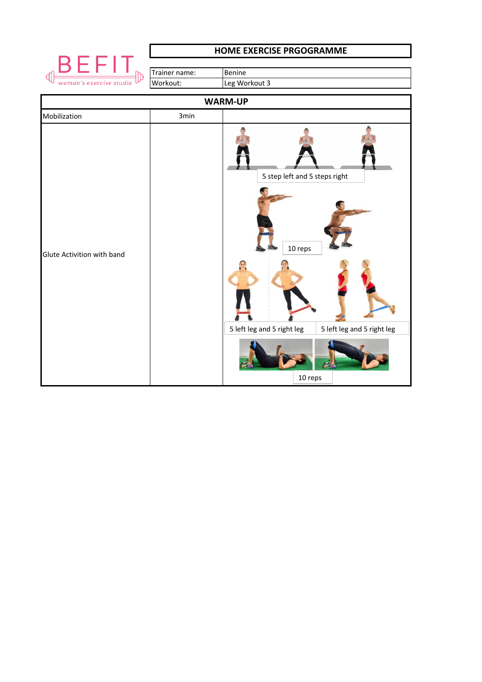

## **HOME EXERCISE PRGOGRAMME**



Benine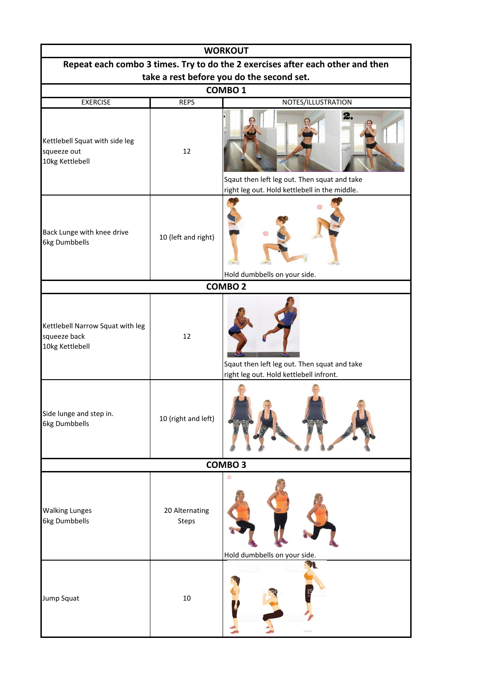| <b>WORKOUT</b>                                                                 |                         |                                                                                                     |  |  |
|--------------------------------------------------------------------------------|-------------------------|-----------------------------------------------------------------------------------------------------|--|--|
| Repeat each combo 3 times. Try to do the 2 exercises after each other and then |                         |                                                                                                     |  |  |
| take a rest before you do the second set.                                      |                         |                                                                                                     |  |  |
| COMBO <sub>1</sub>                                                             |                         |                                                                                                     |  |  |
| <b>EXERCISE</b>                                                                | <b>REPS</b>             | NOTES/ILLUSTRATION                                                                                  |  |  |
| Kettlebell Squat with side leg<br>squeeze out<br>10kg Kettlebell               | 12                      | 2.<br>Sqaut then left leg out. Then squat and take<br>right leg out. Hold kettlebell in the middle. |  |  |
| Back Lunge with knee drive<br>6kg Dumbbells                                    | 10 (left and right)     | Hold dumbbells on your side.                                                                        |  |  |
|                                                                                |                         | <b>COMBO2</b>                                                                                       |  |  |
|                                                                                |                         |                                                                                                     |  |  |
| Kettlebell Narrow Squat with leg<br>squeeze back<br>10kg Kettlebell            | 12                      | Sqaut then left leg out. Then squat and take<br>right leg out. Hold kettlebell infront.             |  |  |
| Side lunge and step in.<br>6kg Dumbbells                                       | 10 (right and left)     |                                                                                                     |  |  |
| COMBO <sub>3</sub>                                                             |                         |                                                                                                     |  |  |
| <b>Walking Lunges</b><br>6kg Dumbbells                                         | 20 Alternating<br>Steps | Hold dumbbells on your side.                                                                        |  |  |
| Jump Squat                                                                     | 10                      |                                                                                                     |  |  |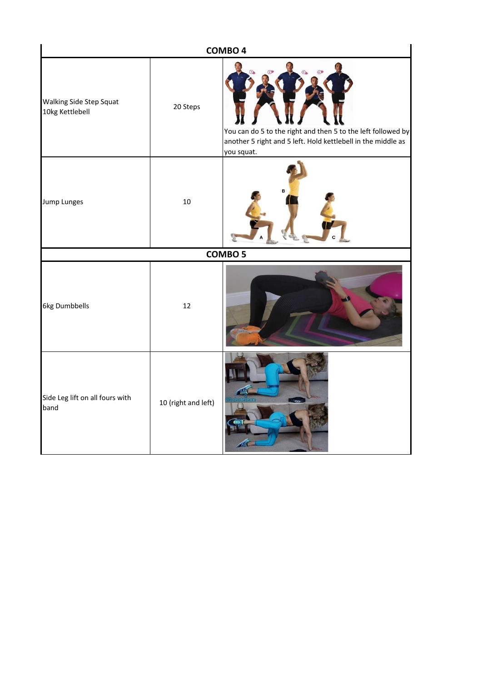| COMBO <sub>4</sub>                         |                     |                                                                                                                                            |  |
|--------------------------------------------|---------------------|--------------------------------------------------------------------------------------------------------------------------------------------|--|
| Walking Side Step Squat<br>10kg Kettlebell | 20 Steps            | You can do 5 to the right and then 5 to the left followed by<br>another 5 right and 5 left. Hold kettlebell in the middle as<br>you squat. |  |
| Jump Lunges                                | $10\,$              | B                                                                                                                                          |  |
|                                            |                     | COMBO <sub>5</sub>                                                                                                                         |  |
| 6kg Dumbbells                              | 12                  |                                                                                                                                            |  |
| Side Leg lift on all fours with<br>band    | 10 (right and left) | wor                                                                                                                                        |  |